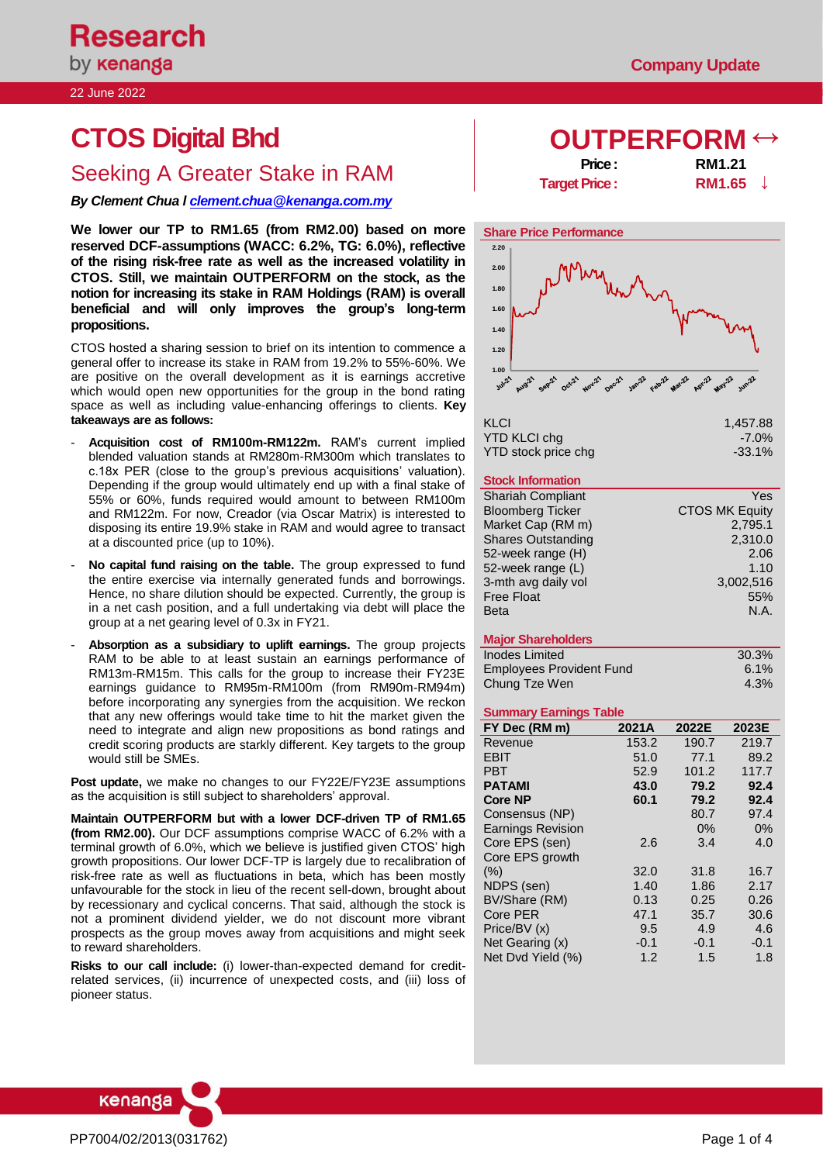22 June 2022

# **CTOS Digital Bhd DIFFERFORM**

# **Seeking A Greater Stake in RAM Price : Price : RM1.21**<br>**RM1.65**

*By Clement Chua [l clement.chua@kenanga.com.my](mailto:clement.chua@kenanga.com.my)*

**We lower our TP to RM1.65 (from RM2.00) based on more reserved DCF-assumptions (WACC: 6.2%, TG: 6.0%), reflective of the rising risk-free rate as well as the increased volatility in CTOS. Still, we maintain OUTPERFORM on the stock, as the notion for increasing its stake in RAM Holdings (RAM) is overall beneficial and will only improves the group's long-term propositions.** 

CTOS hosted a sharing session to brief on its intention to commence a general offer to increase its stake in RAM from 19.2% to 55%-60%. We are positive on the overall development as it is earnings accretive which would open new opportunities for the group in the bond rating space as well as including value-enhancing offerings to clients. **Key takeaways are as follows:**

- **Acquisition cost of RM100m-RM122m.** RAM's current implied blended valuation stands at RM280m-RM300m which translates to c.18x PER (close to the group's previous acquisitions' valuation). Depending if the group would ultimately end up with a final stake of 55% or 60%, funds required would amount to between RM100m and RM122m. For now, Creador (via Oscar Matrix) is interested to disposing its entire 19.9% stake in RAM and would agree to transact at a discounted price (up to 10%).
- **No capital fund raising on the table.** The group expressed to fund the entire exercise via internally generated funds and borrowings. Hence, no share dilution should be expected. Currently, the group is in a net cash position, and a full undertaking via debt will place the group at a net gearing level of 0.3x in FY21.
- **Absorption as a subsidiary to uplift earnings.** The group projects RAM to be able to at least sustain an earnings performance of RM13m-RM15m. This calls for the group to increase their FY23E earnings guidance to RM95m-RM100m (from RM90m-RM94m) before incorporating any synergies from the acquisition. We reckon that any new offerings would take time to hit the market given the need to integrate and align new propositions as bond ratings and credit scoring products are starkly different. Key targets to the group would still be SMEs.

**Post update,** we make no changes to our FY22E/FY23E assumptions as the acquisition is still subject to shareholders' approval.

**Maintain OUTPERFORM but with a lower DCF-driven TP of RM1.65 (from RM2.00).** Our DCF assumptions comprise WACC of 6.2% with a terminal growth of 6.0%, which we believe is justified given CTOS' high growth propositions. Our lower DCF-TP is largely due to recalibration of risk-free rate as well as fluctuations in beta, which has been mostly unfavourable for the stock in lieu of the recent sell-down, brought about by recessionary and cyclical concerns. That said, although the stock is not a prominent dividend yielder, we do not discount more vibrant prospects as the group moves away from acquisitions and might seek to reward shareholders.

**Risks to our call include:** (i) lower-than-expected demand for creditrelated services, (ii) incurrence of unexpected costs, and (iii) loss of pioneer status.

**Target Price :** 



| KLCI                | 1,457.88  |
|---------------------|-----------|
| YTD KLCI chq        | $-7.0\%$  |
| YTD stock price chg | $-33.1\%$ |

## **Stock Information**

| <b>Shariah Compliant</b>  | Yes                   |
|---------------------------|-----------------------|
| <b>Bloomberg Ticker</b>   | <b>CTOS MK Equity</b> |
| Market Cap (RM m)         | 2,795.1               |
| <b>Shares Outstanding</b> | 2,310.0               |
| 52-week range (H)         | 2.06                  |
| 52-week range (L)         | 1.10                  |
| 3-mth avg daily vol       | 3,002,516             |
| <b>Free Float</b>         | 55%                   |
| <b>Beta</b>               | N.A.                  |

# **Major Shareholders**

| Inodes Limited                  | 30.3%   |
|---------------------------------|---------|
| <b>Employees Provident Fund</b> | $6.1\%$ |
| Chung Tze Wen                   | 4.3%    |

## **Summary Earnings Table**

| FY Dec (RM m)            | 2021A  | 2022E  | 2023E  |
|--------------------------|--------|--------|--------|
| Revenue                  | 153.2  | 190.7  | 219.7  |
| <b>EBIT</b>              | 51.0   | 77.1   | 89.2   |
| PBT                      | 52.9   | 101.2  | 117.7  |
| <b>PATAMI</b>            | 43.0   | 79.2   | 92.4   |
| <b>Core NP</b>           | 60.1   | 79.2   | 92.4   |
| Consensus (NP)           |        | 80.7   | 97.4   |
| <b>Earnings Revision</b> |        | 0%     | 0%     |
| Core EPS (sen)           | 2.6    | 3.4    | 4.0    |
| Core EPS growth          |        |        |        |
| (% )                     | 32.0   | 31.8   | 16.7   |
| NDPS (sen)               | 1.40   | 1.86   | 2.17   |
| BV/Share (RM)            | 0.13   | 0.25   | 0.26   |
| Core PER                 | 47.1   | 35.7   | 30.6   |
| Price/BV (x)             | 9.5    | 4.9    | 4.6    |
| Net Gearing (x)          | $-0.1$ | $-0.1$ | $-0.1$ |
| Net Dvd Yield (%)        | 1.2    | 1.5    | 1.8    |

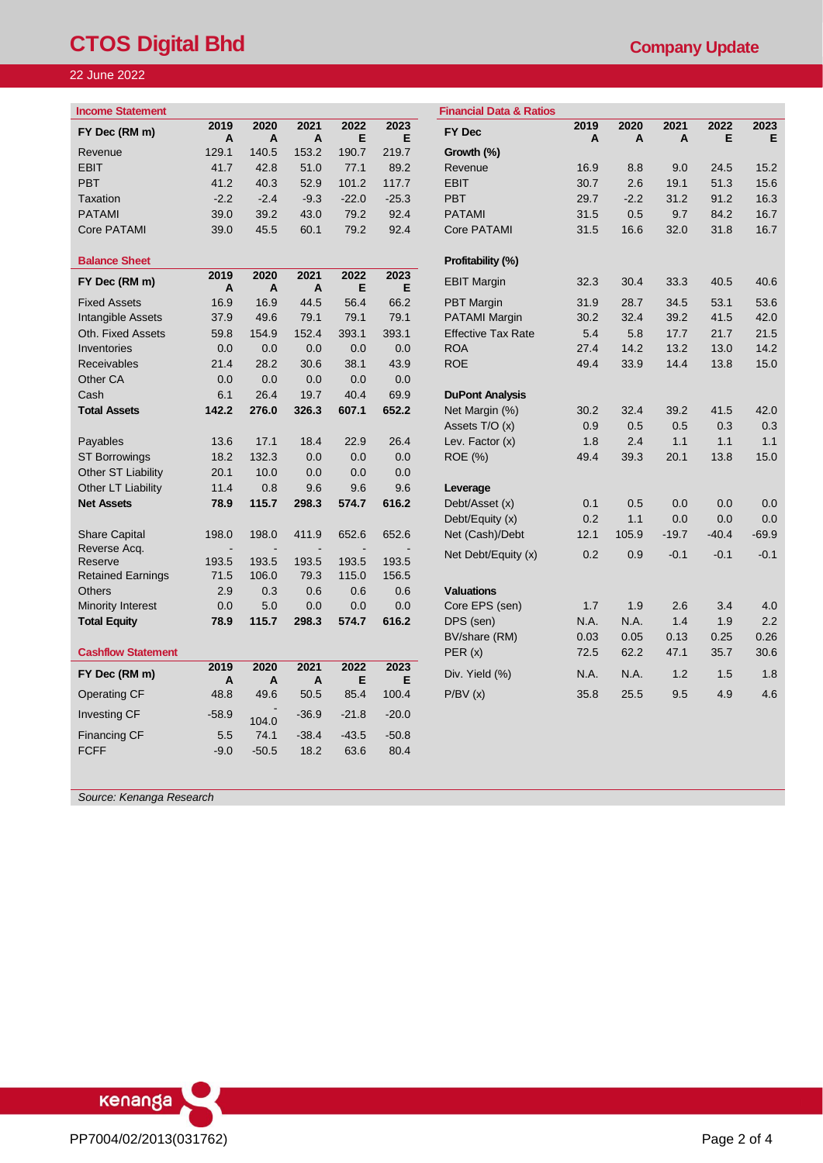# **CTOS Digital Bhd CTOS COMPANY Update**

# 22 June 2022

| Z June 2022:            |                 |             |                                |           |           |                                    |           |
|-------------------------|-----------------|-------------|--------------------------------|-----------|-----------|------------------------------------|-----------|
| <b>Income Statement</b> |                 |             |                                |           |           | <b>Financial Data &amp; Ratios</b> |           |
| FY Dec (RM m)           | 2019<br>A       | 2020<br>A   | 2021<br>A                      | 2022<br>Е | 2023<br>Е | FY Dec                             | 2019<br>A |
| Revenue                 | 129.1           | 140.5       | 153.2                          | 190.7     | 219.7     | Growth (%)                         |           |
| <b>EBIT</b>             | 41.7            | 42.8        | 51.0                           | 77.1      | 89.2      | Revenue                            | 16.9      |
| <b>PBT</b>              | 41.2            | 40.3        | 52.9                           | 101.2     | 117.7     | <b>EBIT</b>                        | 30.7      |
| Taxation                | $-2.2$          | $-2.4$      | $-9.3$                         | $-22.0$   | $-25.3$   | <b>PBT</b>                         | 29.7      |
| <b>PATAMI</b>           | 39.0            | 39.2        | 43.0                           | 79.2      | 92.4      | <b>PATAMI</b>                      | 31.5      |
| Core PATAMI             | 39.0            | 45.5        | 60.1                           | 79.2      | 92.4      | Core PATAMI                        | 31.5      |
| <b>Balance Sheet</b>    |                 |             |                                |           |           | Profitability (%)                  |           |
| FY Dec (RM m)           | 2019<br>A       | 2020<br>A   | 2021<br>A                      | 2022<br>Е | 2023<br>Е | <b>EBIT Margin</b>                 | 32.3      |
| Eived Appete            | 1C <sub>0</sub> | $1C \Omega$ | $\Lambda \Lambda$ <sub>E</sub> | ECA       | cc o      | DDT Morain                         | 240       |

| <b>Balance Sheet</b>      |                        |            |            |            |            | Profitability (%)         |      |       |         |         |                 |
|---------------------------|------------------------|------------|------------|------------|------------|---------------------------|------|-------|---------|---------|-----------------|
| FY Dec (RM m)             | 2019<br>$\overline{A}$ | 2020<br>A  | 2021<br>A  | 2022<br>Е  | 2023<br>Е  | <b>EBIT Margin</b>        | 32.3 | 30.4  | 33.3    | 40.5    | 40.6            |
| <b>Fixed Assets</b>       | 16.9                   | 16.9       | 44.5       | 56.4       | 66.2       | <b>PBT</b> Margin         | 31.9 | 28.7  | 34.5    | 53.1    | 53.6            |
| Intangible Assets         | 37.9                   | 49.6       | 79.1       | 79.1       | 79.1       | <b>PATAMI Margin</b>      | 30.2 | 32.4  | 39.2    | 41.5    | 42.0            |
| Oth. Fixed Assets         | 59.8                   | 154.9      | 152.4      | 393.1      | 393.1      | <b>Effective Tax Rate</b> | 5.4  | 5.8   | 17.7    | 21.7    | 21.5            |
| Inventories               | 0.0                    | 0.0        | 0.0        | 0.0        | 0.0        | <b>ROA</b>                | 27.4 | 14.2  | 13.2    | 13.0    | 14.2            |
| <b>Receivables</b>        | 21.4                   | 28.2       | 30.6       | 38.1       | 43.9       | <b>ROE</b>                | 49.4 | 33.9  | 14.4    | 13.8    | 15 <sub>c</sub> |
| Other CA                  | 0.0                    | 0.0        | 0.0        | 0.0        | 0.0        |                           |      |       |         |         |                 |
| Cash                      | 6.1                    | 26.4       | 19.7       | 40.4       | 69.9       | <b>DuPont Analysis</b>    |      |       |         |         |                 |
| <b>Total Assets</b>       | 142.2                  | 276.0      | 326.3      | 607.1      | 652.2      | Net Margin (%)            | 30.2 | 32.4  | 39.2    | 41.5    | 42.0            |
|                           |                        |            |            |            |            | Assets T/O (x)            | 0.9  | 0.5   | 0.5     | 0.3     | 0.3             |
| Payables                  | 13.6                   | 17.1       | 18.4       | 22.9       | 26.4       | Lev. Factor (x)           | 1.8  | 2.4   | 1.1     | 1.1     | 1.1             |
| <b>ST Borrowings</b>      | 18.2                   | 132.3      | 0.0        | 0.0        | 0.0        | ROE (%)                   | 49.4 | 39.3  | 20.1    | 13.8    | 15.0            |
| Other ST Liability        | 20.1                   | 10.0       | 0.0        | 0.0        | 0.0        |                           |      |       |         |         |                 |
| Other LT Liability        | 11.4                   | 0.8        | 9.6        | 9.6        | 9.6        | Leverage                  |      |       |         |         |                 |
| <b>Net Assets</b>         | 78.9                   | 115.7      | 298.3      | 574.7      | 616.2      | Debt/Asset (x)            | 0.1  | 0.5   | 0.0     | 0.0     | 0. <sub>C</sub> |
|                           |                        |            |            |            |            | Debt/Equity (x)           | 0.2  | 1.1   | 0.0     | 0.0     | 0.0             |
| <b>Share Capital</b>      | 198.0                  | 198.0      | 411.9      | 652.6      | 652.6      | Net (Cash)/Debt           | 12.1 | 105.9 | $-19.7$ | $-40.4$ | $-69.9$         |
| Reverse Acq.              |                        |            |            |            |            | Net Debt/Equity (x)       | 0.2  | 0.9   | $-0.1$  | $-0.1$  | $-0.1$          |
| Reserve                   | 193.5                  | 193.5      | 193.5      | 193.5      | 193.5      |                           |      |       |         |         |                 |
| <b>Retained Earnings</b>  | 71.5                   | 106.0      | 79.3       | 115.0      | 156.5      |                           |      |       |         |         |                 |
| <b>Others</b>             | 2.9<br>0.0             | 0.3<br>5.0 | 0.6<br>0.0 | 0.6<br>0.0 | 0.6<br>0.0 | <b>Valuations</b>         | 1.7  | 1.9   | 2.6     | 3.4     |                 |
| Minority Interest         | 78.9                   | 115.7      | 298.3      | 574.7      | 616.2      | Core EPS (sen)            | N.A. | N.A.  | 1.4     | 1.9     | 4.0             |
| <b>Total Equity</b>       |                        |            |            |            |            | DPS (sen)                 |      | 0.05  | 0.13    | 0.25    | 2.2<br>0.26     |
|                           |                        |            |            |            |            | BV/share (RM)             | 0.03 |       |         |         |                 |
| <b>Cashflow Statement</b> | 2019                   | 2020       | 2021       | 2022       | 2023       | PER(x)                    | 72.5 | 62.2  | 47.1    | 35.7    | 30.6            |
| FY Dec (RM m)             | A                      | A          | A          | Е          | Е          | Div. Yield (%)            | N.A. | N.A.  | 1.2     | 1.5     | 1.8             |
| <b>Operating CF</b>       | 48.8                   | 49.6       | 50.5       | 85.4       | 100.4      | P/BV(x)                   | 35.8 | 25.5  | 9.5     | 4.9     | 4.6             |
| <b>Investing CF</b>       | $-58.9$                | 104.0      | $-36.9$    | $-21.8$    | $-20.0$    |                           |      |       |         |         |                 |
| <b>Financing CF</b>       | 5.5                    | 74.1       | $-38.4$    | $-43.5$    | $-50.8$    |                           |      |       |         |         |                 |
| <b>FCFF</b>               | $-9.0$                 | $-50.5$    | 18.2       | 63.6       | 80.4       |                           |      |       |         |         |                 |

| ncome Statement           |           |           |           |           |           | <b>Financial Data &amp; Ratios</b> |           |           |           |           |           |
|---------------------------|-----------|-----------|-----------|-----------|-----------|------------------------------------|-----------|-----------|-----------|-----------|-----------|
| FY Dec (RM m)             | 2019<br>A | 2020<br>A | 2021<br>A | 2022<br>E | 2023<br>E | <b>FY Dec</b>                      | 2019<br>A | 2020<br>A | 2021<br>Α | 2022<br>Е | 2023<br>Е |
| Revenue                   | 129.1     | 140.5     | 153.2     | 190.7     | 219.7     | Growth (%)                         |           |           |           |           |           |
| EBIT                      | 41.7      | 42.8      | 51.0      | 77.1      | 89.2      | Revenue                            | 16.9      | 8.8       | 9.0       | 24.5      | 15.2      |
| PBT                       | 41.2      | 40.3      | 52.9      | 101.2     | 117.7     | <b>EBIT</b>                        | 30.7      | 2.6       | 19.1      | 51.3      | 15.6      |
| Taxation                  | $-2.2$    | $-2.4$    | $-9.3$    | $-22.0$   | $-25.3$   | <b>PBT</b>                         | 29.7      | $-2.2$    | 31.2      | 91.2      | 16.3      |
| <b>PATAMI</b>             | 39.0      | 39.2      | 43.0      | 79.2      | 92.4      | <b>PATAMI</b>                      | 31.5      | 0.5       | 9.7       | 84.2      | 16.7      |
| Core PATAMI               | 39.0      | 45.5      | 60.1      | 79.2      | 92.4      | <b>Core PATAMI</b>                 | 31.5      | 16.6      | 32.0      | 31.8      | 16.7      |
| <b>Balance Sheet</b>      |           |           |           |           |           | Profitability (%)                  |           |           |           |           |           |
| FY Dec (RM m)             | 2019<br>A | 2020<br>A | 2021<br>A | 2022<br>Е | 2023<br>Е | <b>EBIT Margin</b>                 | 32.3      | 30.4      | 33.3      | 40.5      | 40.6      |
| <b>Fixed Assets</b>       | 16.9      | 16.9      | 44.5      | 56.4      | 66.2      | <b>PBT</b> Margin                  | 31.9      | 28.7      | 34.5      | 53.1      | 53.6      |
| <b>Intangible Assets</b>  | 37.9      | 49.6      | 79.1      | 79.1      | 79.1      | <b>PATAMI Margin</b>               | 30.2      | 32.4      | 39.2      | 41.5      | 42.0      |
| Oth. Fixed Assets         | 59.8      | 154.9     | 152.4     | 393.1     | 393.1     | <b>Effective Tax Rate</b>          | 5.4       | 5.8       | 17.7      | 21.7      | 21.5      |
| Inventories               | 0.0       | 0.0       | 0.0       | 0.0       | 0.0       | <b>ROA</b>                         | 27.4      | 14.2      | 13.2      | 13.0      | 14.2      |
| Receivables               | 21.4      | 28.2      | 30.6      | 38.1      | 43.9      | <b>ROE</b>                         | 49.4      | 33.9      | 14.4      | 13.8      | 15.0      |
| Other CA                  | 0.0       | 0.0       | 0.0       | 0.0       | 0.0       |                                    |           |           |           |           |           |
| Cash                      | 6.1       | 26.4      | 19.7      | 40.4      | 69.9      | <b>DuPont Analysis</b>             |           |           |           |           |           |
| <b>Total Assets</b>       | 142.2     | 276.0     | 326.3     | 607.1     | 652.2     | Net Margin (%)                     | 30.2      | 32.4      | 39.2      | 41.5      | 42.0      |
|                           |           |           |           |           |           | Assets T/O (x)                     | 0.9       | 0.5       | 0.5       | 0.3       | 0.3       |
| Payables                  | 13.6      | 17.1      | 18.4      | 22.9      | 26.4      | Lev. Factor (x)                    | 1.8       | 2.4       | 1.1       | 1.1       | 1.1       |
| <b>ST Borrowings</b>      | 18.2      | 132.3     | 0.0       | 0.0       | 0.0       | <b>ROE</b> (%)                     | 49.4      | 39.3      | 20.1      | 13.8      | 15.0      |
| Other ST Liability        | 20.1      | 10.0      | 0.0       | 0.0       | 0.0       |                                    |           |           |           |           |           |
| Other LT Liability        | 11.4      | 0.8       | 9.6       | 9.6       | 9.6       | Leverage                           |           |           |           |           |           |
| <b>Net Assets</b>         | 78.9      | 115.7     | 298.3     | 574.7     | 616.2     | Debt/Asset (x)                     | 0.1       | 0.5       | 0.0       | 0.0       | 0.0       |
|                           |           |           |           |           |           | Debt/Equity (x)                    | 0.2       | 1.1       | 0.0       | 0.0       | 0.0       |
| <b>Share Capital</b>      | 198.0     | 198.0     | 411.9     | 652.6     | 652.6     | Net (Cash)/Debt                    | 12.1      | 105.9     | $-19.7$   | $-40.4$   | $-69.9$   |
| Reverse Acq.              |           |           |           |           |           | Net Debt/Equity (x)                | 0.2       | 0.9       | $-0.1$    | $-0.1$    | $-0.1$    |
| Reserve                   | 193.5     | 193.5     | 193.5     | 193.5     | 193.5     |                                    |           |           |           |           |           |
| Retained Earnings         | 71.5      | 106.0     | 79.3      | 115.0     | 156.5     |                                    |           |           |           |           |           |
| Others                    | 2.9       | 0.3       | 0.6       | 0.6       | 0.6       | <b>Valuations</b>                  |           |           |           |           |           |
| Minority Interest         | 0.0       | 5.0       | 0.0       | 0.0       | 0.0       | Core EPS (sen)                     | 1.7       | 1.9       | 2.6       | 3.4       | 4.0       |
| <b>Total Equity</b>       | 78.9      | 115.7     | 298.3     | 574.7     | 616.2     | DPS (sen)                          | N.A.      | N.A.      | 1.4       | 1.9       | 2.2       |
|                           |           |           |           |           |           | BV/share (RM)                      | 0.03      | 0.05      | 0.13      | 0.25      | 0.26      |
| <b>Cashflow Statement</b> |           |           |           |           |           | PER(x)                             | 72.5      | 62.2      | 47.1      | 35.7      | 30.6      |
| FY Dec (RM m)             | 2019<br>A | 2020<br>A | 2021<br>A | 2022<br>E | 2023<br>E | Div. Yield (%)                     | N.A.      | N.A.      | 1.2       | 1.5       | 1.8       |
| Operating CF              | 48.8      | 49.6      | 50.5      | 85.4      | 100.4     | P/BV(x)                            | 35.8      | 25.5      | 9.5       | 4.9       | 4.6       |
| <b>Investing CF</b>       | $-58.9$   | 104.0     | $-36.9$   | $-21.8$   | $-20.0$   |                                    |           |           |           |           |           |
|                           |           |           |           |           |           |                                    |           |           |           |           |           |

*Source: Kenanga Research*

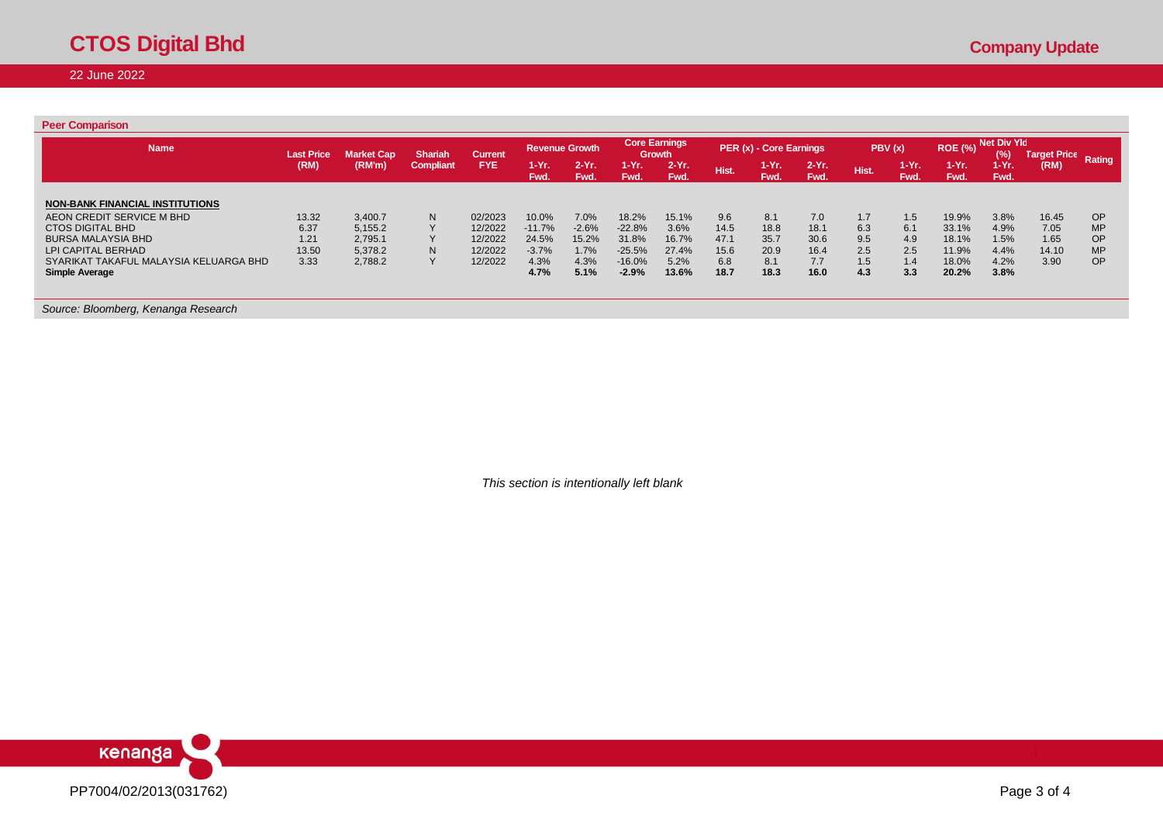22 June 2022

| <b>Peer Comparison</b>                                       |                   |                    |                |                    |                   |                       |                      |                                |             |                         |                 |            |               |                 |                    |                     |                        |
|--------------------------------------------------------------|-------------------|--------------------|----------------|--------------------|-------------------|-----------------------|----------------------|--------------------------------|-------------|-------------------------|-----------------|------------|---------------|-----------------|--------------------|---------------------|------------------------|
| <b>Name</b>                                                  | <b>Last Price</b> | <b>Market Cap</b>  | <b>Shariah</b> | <b>Current</b>     |                   | <b>Revenue Growth</b> |                      | <b>Core Earnings</b><br>Growth |             | PER (x) - Core Earnings |                 |            | PBV(x)        | <b>ROE (%)</b>  | Net Div Yld<br>(%) | <b>Target Price</b> | Rating                 |
|                                                              | (RM)              | (RM'm)             | Compliant      | <b>FYE</b>         | $1-Yr$ .<br>Fwd.  | $2-Yr$ .<br>Fwd.      | $1 - Yr$ .<br>Fwd.   | $2-Yr$ .<br>Fwd.               | Hist.       | $1-Yr.$<br>Fwd.         | $2-Yr.$<br>Fwd. | Hist.      | 1-Yr.<br>Fwd. | $1-Yr.$<br>Fwd. | $1-Yr.$<br>Fwd.    | (RM)                |                        |
| <b>NON-BANK FINANCIAL INSTITUTIONS</b>                       |                   |                    |                |                    |                   |                       |                      |                                |             |                         |                 |            |               |                 |                    |                     |                        |
| AEON CREDIT SERVICE M BHD<br><b>CTOS DIGITAL BHD</b>         | 13.32<br>6.37     | 3,400.7<br>5,155.2 | N              | 02/2023<br>12/2022 | 10.0%<br>$-11.7%$ | 7.0%<br>$-2.6%$       | 18.2%<br>$-22.8%$    | 15.1%<br>3.6%                  | 9.6<br>14.5 | 8.1<br>18.8             | 7.0<br>18.1     | 1.7<br>6.3 | 1.5<br>6.1    | 19.9%<br>33.1%  | 3.8%<br>4.9%       | 16.45<br>7.05       | <b>OP</b><br><b>MP</b> |
| <b>BURSA MALAYSIA BHD</b>                                    | 1.21              | 2,795.1            |                | 12/2022            | 24.5%             | 15.2%                 | 31.8%                | 16.7%                          | 47.1        | 35.7                    | 30.6            | 9.5        | 4.9           | 18.1%           | 1.5%               | 1.65                | <b>OP</b>              |
| LPI CAPITAL BERHAD<br>SYARIKAT TAKAFUL MALAYSIA KELUARGA BHD | 13.50<br>3.33     | 5,378.2<br>2,788.2 | N              | 12/2022<br>12/2022 | $-3.7%$<br>4.3%   | 1.7%<br>4.3%          | $-25.5%$<br>$-16.0%$ | 27.4%<br>5.2%                  | 15.6<br>6.8 | 20.9<br>8.1             | 16.4<br>7.7     | 2.5<br>1.5 | 2.5<br>1.4    | 11.9%<br>18.0%  | 4.4%<br>4.2%       | 14.10<br>3.90       | <b>MP</b><br><b>OP</b> |
| <b>Simple Average</b>                                        |                   |                    |                |                    | 4.7%              | 5.1%                  | $-2.9%$              | 13.6%                          | 18.7        | 18.3                    | 16.0            | 4.3        | 3.3           | 20.2%           | 3.8%               |                     |                        |
|                                                              |                   |                    |                |                    |                   |                       |                      |                                |             |                         |                 |            |               |                 |                    |                     |                        |
| Source: Bloomberg, Kenanga Research                          |                   |                    |                |                    |                   |                       |                      |                                |             |                         |                 |            |               |                 |                    |                     |                        |

*This section is intentionally left blank*